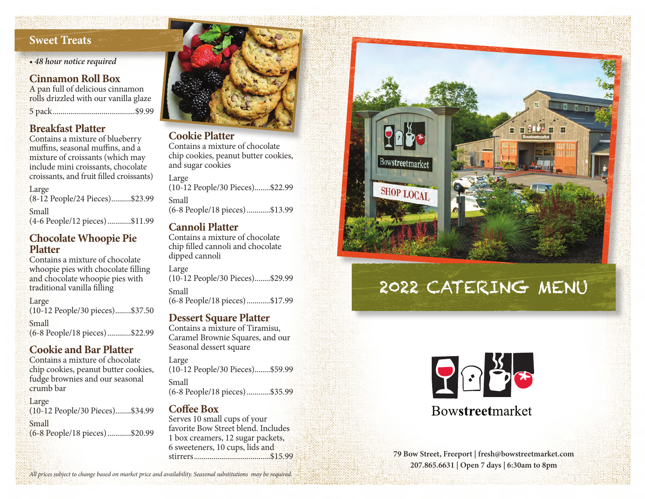## **Sweet Treats**

*• 48 hour notice required*

## **Cinnamon Roll Box**

A pan full of delicious cinnamon rolls drizzled with our vanilla glaze 5 pack..........................................\$9.99

## **Breakfast Platter**

Contains a mixture of blueberry muffins, seasonal muffins, and a mixture of croissants (which may include mini croissants, chocolate croissants, and fruit filled croissants)

Large (8-12 People/24 Pieces)..........\$23.99 Small (4-6 People/12 pieces)............\$11.99

#### **Chocolate Whoopie Pie Platter**

Contains a mixture of chocolate whoopie pies with chocolate filling and chocolate whoopie pies with traditional vanilla filling

Large (10-12 People/30 pieces)........\$37.50

Small (6-8 People/18 pieces)............\$22.99

## **Cookie and Bar Platter**

Contains a mixture of chocolate chip cookies, peanut butter cookies, fudge brownies and our seasonal crumb bar

Large (10-12 People/30 Pieces)........\$34.99 Small (6-8 People/18 pieces)............\$20.99



## **Cookie Platter**

Contains a mixture of chocolate chip cookies, peanut butter cookies, and sugar cookies

Large (10-12 People/30 Pieces)........\$22.99 Small (6-8 People/18 pieces)............\$13.99

## **Cannoli Platter**

Contains a mixture of chocolate chip filled cannoli and chocolate dipped cannoli

Large (10-12 People/30 Pieces)........\$29.99 Small

(6-8 People/18 pieces)............\$17.99

#### **Dessert Square Platter**

Contains a mixture of Tiramisu, Caramel Brownie Squares, and our Seasonal dessert square

Large (10-12 People/30 Pieces)........\$59.99 Small (6-8 People/18 pieces)............\$35.99

## **Coffee Box**

Serves 10 small cups of your favorite Bow Street blend. Includes 1 box creamers, 12 sugar packets, 6 sweeteners, 10 cups, lids and stirrers.......................................\$15.99



# 2022 CATERING MENU



# **Bowstreetmarket**

**79 Bow Street, Freeport | fresh@bowstreetmarket.com 207.865.6631 | Open 7 days | 6:30am to 8pm** 

*All prices subject to change based on market price and availability. Seasonal substitutions may be required.*